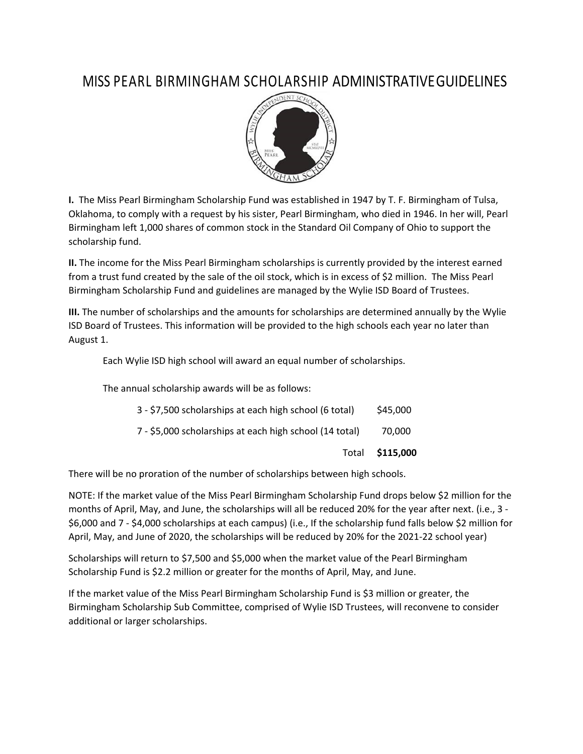## MISS PEARL BIRMINGHAM SCHOLARSHIP ADMINISTRATIVEGUIDELINES



**I.** The Miss Pearl Birmingham Scholarship Fund was established in 1947 by T. F. Birmingham of Tulsa, Oklahoma, to comply with a request by his sister, Pearl Birmingham, who died in 1946. In her will, Pearl Birmingham left 1,000 shares of common stock in the Standard Oil Company of Ohio to support the scholarship fund.

**II.** The income for the Miss Pearl Birmingham scholarships is currently provided by the interest earned from a trust fund created by the sale of the oil stock, which is in excess of \$2 million. The Miss Pearl Birmingham Scholarship Fund and guidelines are managed by the Wylie ISD Board of Trustees.

**III.** The number of scholarships and the amounts for scholarships are determined annually by the Wylie ISD Board of Trustees. This information will be provided to the high schools each year no later than August 1.

Each Wylie ISD high school will award an equal number of scholarships.

The annual scholarship awards will be as follows:

|                                                         | Total <b>\$115,000</b> |
|---------------------------------------------------------|------------------------|
| 7 - \$5,000 scholarships at each high school (14 total) | 70.000                 |
| 3 - \$7,500 scholarships at each high school (6 total)  | \$45,000               |

There will be no proration of the number of scholarships between high schools.

NOTE: If the market value of the Miss Pearl Birmingham Scholarship Fund drops below \$2 million for the months of April, May, and June, the scholarships will all be reduced 20% for the year after next. (i.e., 3 - \$6,000 and 7 - \$4,000 scholarships at each campus) (i.e., If the scholarship fund falls below \$2 million for April, May, and June of 2020, the scholarships will be reduced by 20% for the 2021-22 school year)

Scholarships will return to \$7,500 and \$5,000 when the market value of the Pearl Birmingham Scholarship Fund is \$2.2 million or greater for the months of April, May, and June.

If the market value of the Miss Pearl Birmingham Scholarship Fund is \$3 million or greater, the Birmingham Scholarship Sub Committee, comprised of Wylie ISD Trustees, will reconvene to consider additional or larger scholarships.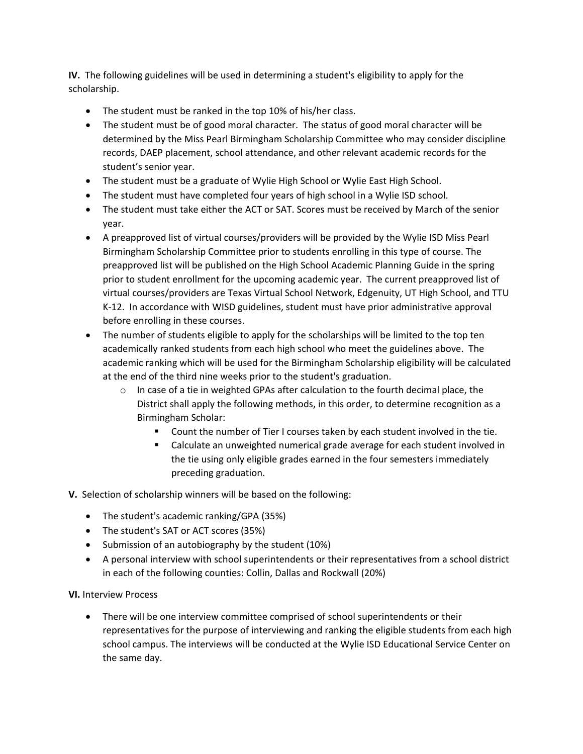**IV.** The following guidelines will be used in determining a student's eligibility to apply for the scholarship.

- The student must be ranked in the top 10% of his/her class.
- The student must be of good moral character. The status of good moral character will be determined by the Miss Pearl Birmingham Scholarship Committee who may consider discipline records, DAEP placement, school attendance, and other relevant academic records for the student's senior year.
- The student must be a graduate of Wylie High School or Wylie East High School.
- The student must have completed four years of high school in a Wylie ISD school.
- The student must take either the ACT or SAT. Scores must be received by March of the senior year.
- A preapproved list of virtual courses/providers will be provided by the Wylie ISD Miss Pearl Birmingham Scholarship Committee prior to students enrolling in this type of course. The preapproved list will be published on the High School Academic Planning Guide in the spring prior to student enrollment for the upcoming academic year. The current preapproved list of virtual courses/providers are Texas Virtual School Network, Edgenuity, UT High School, and TTU K-12. In accordance with WISD guidelines, student must have prior administrative approval before enrolling in these courses.
- The number of students eligible to apply for the scholarships will be limited to the top ten academically ranked students from each high school who meet the guidelines above. The academic ranking which will be used for the Birmingham Scholarship eligibility will be calculated at the end of the third nine weeks prior to the student's graduation.
	- $\circ$  In case of a tie in weighted GPAs after calculation to the fourth decimal place, the District shall apply the following methods, in this order, to determine recognition as a Birmingham Scholar:
		- Count the number of Tier I courses taken by each student involved in the tie.
		- Calculate an unweighted numerical grade average for each student involved in the tie using only eligible grades earned in the four semesters immediately preceding graduation.
- **V.** Selection of scholarship winners will be based on the following:
	- The student's academic ranking/GPA (35%)
	- The student's SAT or ACT scores (35%)
	- Submission of an autobiography by the student (10%)
	- A personal interview with school superintendents or their representatives from a school district in each of the following counties: Collin, Dallas and Rockwall (20%)

**VI.** Interview Process

• There will be one interview committee comprised of school superintendents or their representatives for the purpose of interviewing and ranking the eligible students from each high school campus. The interviews will be conducted at the Wylie ISD Educational Service Center on the same day.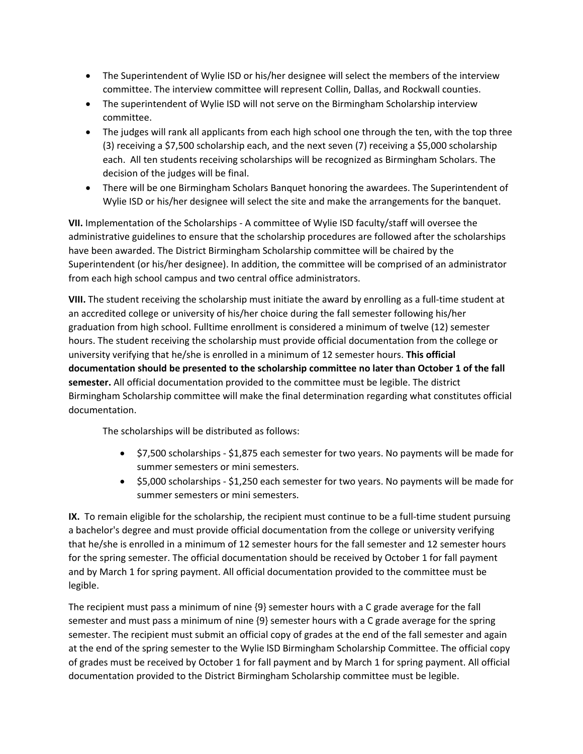- The Superintendent of Wylie ISD or his/her designee will select the members of the interview committee. The interview committee will represent Collin, Dallas, and Rockwall counties.
- The superintendent of Wylie ISD will not serve on the Birmingham Scholarship interview committee.
- The judges will rank all applicants from each high school one through the ten, with the top three (3) receiving a \$7,500 scholarship each, and the next seven (7) receiving a \$5,000 scholarship each. All ten students receiving scholarships will be recognized as Birmingham Scholars. The decision of the judges will be final.
- There will be one Birmingham Scholars Banquet honoring the awardees. The Superintendent of Wylie ISD or his/her designee will select the site and make the arrangements for the banquet.

**VII.** Implementation of the Scholarships - A committee of Wylie ISD faculty/staff will oversee the administrative guidelines to ensure that the scholarship procedures are followed after the scholarships have been awarded. The District Birmingham Scholarship committee will be chaired by the Superintendent (or his/her designee). In addition, the committee will be comprised of an administrator from each high school campus and two central office administrators.

**VIII.** The student receiving the scholarship must initiate the award by enrolling as a full-time student at an accredited college or university of his/her choice during the fall semester following his/her graduation from high school. Fulltime enrollment is considered a minimum of twelve (12) semester hours. The student receiving the scholarship must provide official documentation from the college or university verifying that he/she is enrolled in a minimum of 12 semester hours. **This official documentation should be presented to the scholarship committee no later than October 1 of the fall semester.** All official documentation provided to the committee must be legible. The district Birmingham Scholarship committee will make the final determination regarding what constitutes official documentation.

The scholarships will be distributed as follows:

- \$7,500 scholarships \$1,875 each semester for two years. No payments will be made for summer semesters or mini semesters.
- \$5,000 scholarships \$1,250 each semester for two years. No payments will be made for summer semesters or mini semesters.

**IX.** To remain eligible for the scholarship, the recipient must continue to be a full-time student pursuing a bachelor's degree and must provide official documentation from the college or university verifying that he/she is enrolled in a minimum of 12 semester hours for the fall semester and 12 semester hours for the spring semester. The official documentation should be received by October 1 for fall payment and by March 1 for spring payment. All official documentation provided to the committee must be legible.

The recipient must pass a minimum of nine {9} semester hours with a C grade average for the fall semester and must pass a minimum of nine {9} semester hours with a C grade average for the spring semester. The recipient must submit an official copy of grades at the end of the fall semester and again at the end of the spring semester to the Wylie lSD Birmingham Scholarship Committee. The official copy of grades must be received by October 1 for fall payment and by March 1 for spring payment. All official documentation provided to the District Birmingham Scholarship committee must be legible.